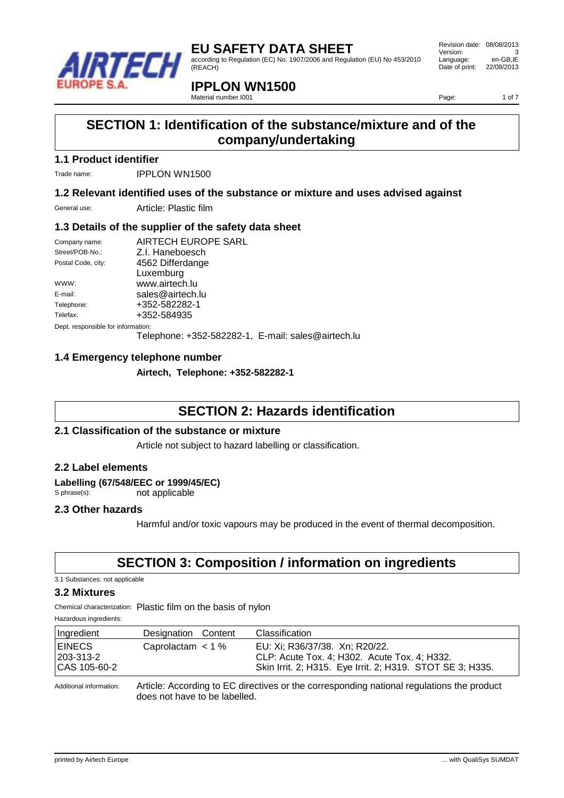

according to Regulation (EC) No. 1907/2006 and Regulation (EU) No 453/2010 (REACH)

Revision date: 08/08/2013 Version: 3<br>
Language: en-GB.IE Language: Date of print: 22/08/2013

# **IPPLON WN1500**

Material number I001

Page: 1 of 7

# **SECTION 1: Identification of the substance/mixture and of the company/undertaking**

### **1.1 Product identifier**

Trade name: **IPPLON WN1500** 

### **1.2 Relevant identified uses of the substance or mixture and uses advised against**

General use: Article: Plastic film

### **1.3 Details of the supplier of the safety data sheet**

| Company name:                      | AIRTECH EUROPE SARL |
|------------------------------------|---------------------|
| Street/POB-No.:                    | Z.I. Haneboesch     |
| Postal Code, city:                 | 4562 Differdange    |
|                                    | Luxemburg           |
| WWW:                               | www.airtech.lu      |
| E-mail:                            | sales@airtech.lu    |
| Telephone:                         | +352-582282-1       |
| Telefax:                           | +352-584935         |
| Dept. responsible for information: |                     |

Telephone: +352-582282-1, E-mail: sales@airtech.lu

### **1.4 Emergency telephone number**

**Airtech, Telephone: +352-582282-1**

### **SECTION 2: Hazards identification**

### **2.1 Classification of the substance or mixture**

Article not subject to hazard labelling or classification.

### **2.2 Label elements**

Labelling (67/548/EEC or 1999/45/EC)<br>
S phrase(s): not applicable not applicable

### **2.3 Other hazards**

Harmful and/or toxic vapours may be produced in the event of thermal decomposition.

# **SECTION 3: Composition / information on ingredients**

3.1 Substances: not applicable

#### **3.2 Mixtures**

Chemical characterization: Plastic film on the basis of nylon

Hazardous ingredients:

| Ingredient                                        | Designation Content | Classification                                                                                                                              |
|---------------------------------------------------|---------------------|---------------------------------------------------------------------------------------------------------------------------------------------|
| <b>EINECS</b><br>  203-313-2<br>$  CAS 105-60-2 $ | Caprolactam $<$ 1 % | EU: Xi; R36/37/38. Xn; R20/22.<br>CLP: Acute Tox. 4; H302. Acute Tox. 4; H332.<br>Skin Irrit. 2; H315. Eye Irrit. 2; H319. STOT SE 3; H335. |

Additional information: Article: According to EC directives or the corresponding national regulations the product does not have to be labelled.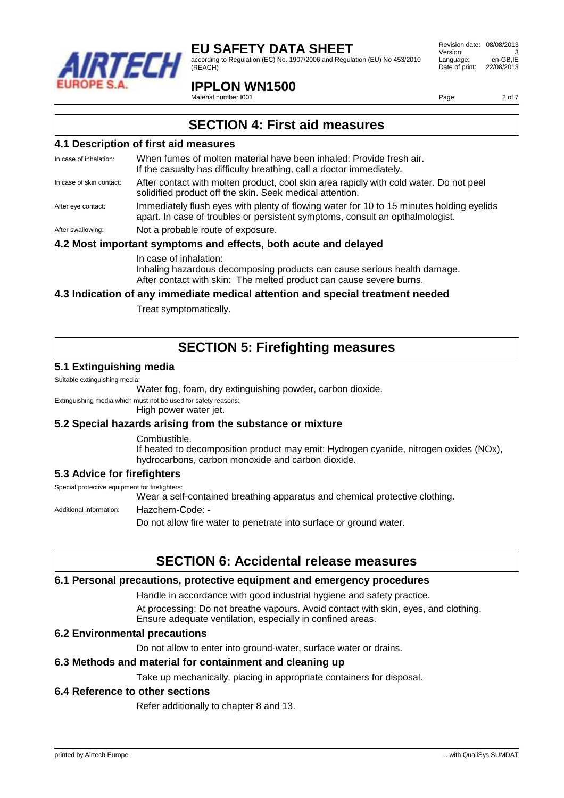

according to Regulation (EC) No. 1907/2006 and Regulation (EU) No 453/2010 (REACH)

### **IPPLON WN1500**

Material number I001

Revision date: 08/08/2013 Version: Language: en-GB,IE Date of print: 22/08/2013

Page: 2 of 7

### **SECTION 4: First aid measures**

#### **4.1 Description of first aid measures**

| In case of inhalation:   | When fumes of molten material have been inhaled: Provide fresh air.<br>If the casualty has difficulty breathing, call a doctor immediately.                               |
|--------------------------|---------------------------------------------------------------------------------------------------------------------------------------------------------------------------|
| In case of skin contact: | After contact with molten product, cool skin area rapidly with cold water. Do not peel<br>solidified product off the skin. Seek medical attention.                        |
| After eye contact:       | Immediately flush eyes with plenty of flowing water for 10 to 15 minutes holding eyelids<br>apart. In case of troubles or persistent symptoms, consult an opthalmologist. |
| After swallowing:        | Not a probable route of exposure.                                                                                                                                         |

### **4.2 Most important symptoms and effects, both acute and delayed**

In case of inhalation:

Inhaling hazardous decomposing products can cause serious health damage. After contact with skin: The melted product can cause severe burns.

### **4.3 Indication of any immediate medical attention and special treatment needed**

Treat symptomatically.

# **SECTION 5: Firefighting measures**

#### **5.1 Extinguishing media**

Suitable extinguishing media:

Water fog, foam, dry extinguishing powder, carbon dioxide.

Extinguishing media which must not be used for safety reasons:

High power water jet.

#### **5.2 Special hazards arising from the substance or mixture**

Combustible.

If heated to decomposition product may emit: Hydrogen cyanide, nitrogen oxides (NOx), hydrocarbons, carbon monoxide and carbon dioxide.

### **5.3 Advice for firefighters**

Special protective equipment for firefighters:

Wear a self-contained breathing apparatus and chemical protective clothing.

Additional information: Hazchem-Code: -

Do not allow fire water to penetrate into surface or ground water.

### **SECTION 6: Accidental release measures**

#### **6.1 Personal precautions, protective equipment and emergency procedures**

Handle in accordance with good industrial hygiene and safety practice.

At processing: Do not breathe vapours. Avoid contact with skin, eyes, and clothing. Ensure adequate ventilation, especially in confined areas.

#### **6.2 Environmental precautions**

Do not allow to enter into ground-water, surface water or drains.

#### **6.3 Methods and material for containment and cleaning up**

Take up mechanically, placing in appropriate containers for disposal.

#### **6.4 Reference to other sections**

Refer additionally to chapter 8 and 13.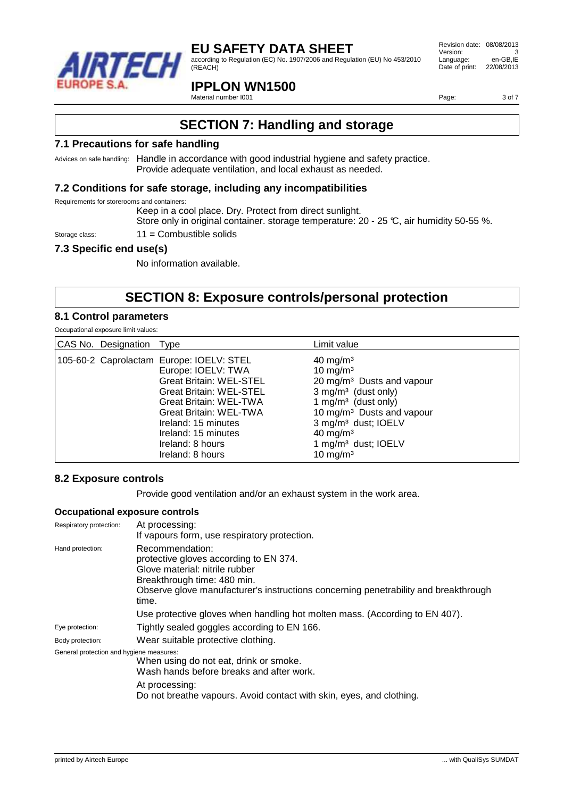

according to Regulation (EC) No. 1907/2006 and Regulation (EU) No 453/2010 (REACH)

### **IPPLON WN1500**

Material number I001

Revision date: 08/08/2013 Version: 3<br>
Language: en-GB.IE Language: Date of print: 22/08/2013

Page: 3 of 7

# **SECTION 7: Handling and storage**

#### **7.1 Precautions for safe handling**

Advices on safe handling: Handle in accordance with good industrial hygiene and safety practice. Provide adequate ventilation, and local exhaust as needed.

#### **7.2 Conditions for safe storage, including any incompatibilities**

Requirements for storerooms and containers:

Keep in a cool place. Dry. Protect from direct sunlight.

Store only in original container. storage temperature: 20 - 25 °C, air humidity 50-55 %.

### Storage class: 11 = Combustible solids

### **7.3 Specific end use(s)**

No information available.

# **SECTION 8: Exposure controls/personal protection**

#### **8.1 Control parameters**

| Occupational exposure limit values: |  |
|-------------------------------------|--|
|-------------------------------------|--|

| CAS No. Designation Type                 |                                                                                                                                                                                                                           | Limit value                                                                                                                                                                                                                                                                                                                |
|------------------------------------------|---------------------------------------------------------------------------------------------------------------------------------------------------------------------------------------------------------------------------|----------------------------------------------------------------------------------------------------------------------------------------------------------------------------------------------------------------------------------------------------------------------------------------------------------------------------|
| 105-60-2 Caprolactam Europe: IOELV: STEL | Europe: IOELV: TWA<br><b>Great Britain: WEL-STEL</b><br>Great Britain: WEL-STEL<br>Great Britain: WEL-TWA<br>Great Britain: WEL-TWA<br>Ireland: 15 minutes<br>Ireland: 15 minutes<br>Ireland: 8 hours<br>Ireland: 8 hours | $40 \text{ mg/m}^3$<br>10 mg/m <sup>3</sup><br>20 mg/m <sup>3</sup> Dusts and vapour<br>$3$ mg/m <sup>3</sup> (dust only)<br>1 mg/m <sup>3</sup> (dust only)<br>10 mg/m <sup>3</sup> Dusts and vapour<br>3 mg/m <sup>3</sup> dust; IOELV<br>$40 \text{ mg/m}^3$<br>1 mg/m <sup>3</sup> dust; IOELV<br>10 mg/m <sup>3</sup> |

#### **8.2 Exposure controls**

Provide good ventilation and/or an exhaust system in the work area.

#### **Occupational exposure controls**

| Respiratory protection:                  | At processing:<br>If vapours form, use respiratory protection.                                                                                                                                                             |
|------------------------------------------|----------------------------------------------------------------------------------------------------------------------------------------------------------------------------------------------------------------------------|
| Hand protection:                         | Recommendation:<br>protective gloves according to EN 374.<br>Glove material: nitrile rubber<br>Breakthrough time: 480 min.<br>Observe glove manufacturer's instructions concerning penetrability and breakthrough<br>time. |
|                                          | Use protective gloves when handling hot molten mass. (According to EN 407).                                                                                                                                                |
| Eye protection:                          | Tightly sealed goggles according to EN 166.                                                                                                                                                                                |
| Body protection:                         | Wear suitable protective clothing.                                                                                                                                                                                         |
| General protection and hygiene measures: | When using do not eat, drink or smoke.<br>Wash hands before breaks and after work.<br>At processing:<br>Do not breathe vapours. Avoid contact with skin, eyes, and clothing.                                               |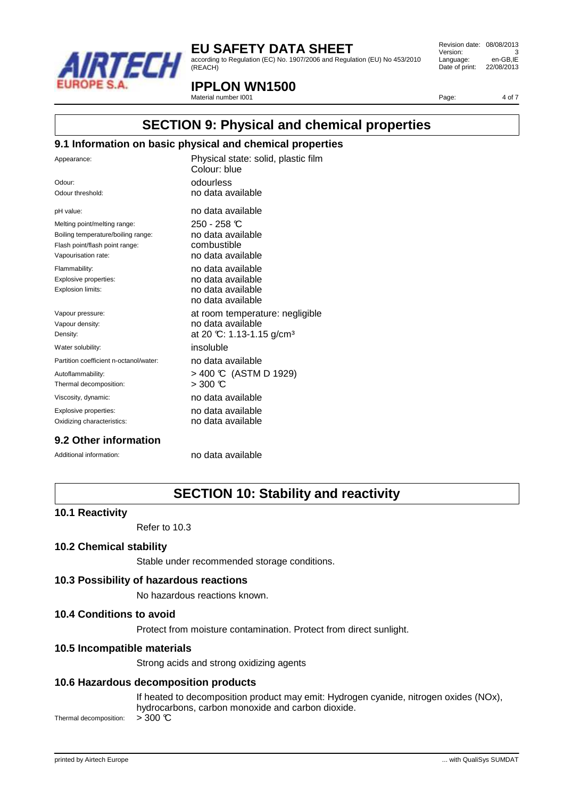

according to Regulation (EC) No. 1907/2006 and Regulation (EU) No 453/2010 (REACH)

Revision date: 08/08/2013 Version: 3<br>
Language: en-GB.IE Language: Date of print: 22/08/2013

### **IPPLON WN1500**

Material number I001

Page: 4 of 7

## **SECTION 9: Physical and chemical properties**

#### **9.1 Information on basic physical and chemical properties**

| Appearance:                            | Physical state: solid, plastic film<br>Colour: blue |
|----------------------------------------|-----------------------------------------------------|
| Odour:                                 | odourless                                           |
| Odour threshold:                       | no data available                                   |
| pH value:                              | no data available                                   |
| Melting point/melting range:           | $250 - 258$ C                                       |
| Boiling temperature/boiling range:     | no data available                                   |
| Flash point/flash point range:         | combustible                                         |
| Vapourisation rate:                    | no data available                                   |
| Flammability:                          | no data available                                   |
| Explosive properties:                  | no data available                                   |
| Explosion limits:                      | no data available<br>no data available              |
| Vapour pressure:                       | at room temperature: negligible                     |
| Vapour density:                        | no data available                                   |
| Density:                               | at 20 °C: 1.13-1.15 g/cm <sup>3</sup>               |
| Water solubility:                      | insoluble                                           |
| Partition coefficient n-octanol/water: | no data available                                   |
| Autoflammability:                      | > 400 ℃ (ASTM D 1929)                               |
| Thermal decomposition:                 | $>$ 300 °C                                          |
| Viscosity, dynamic:                    | no data available                                   |
| Explosive properties:                  | no data available                                   |
| Oxidizing characteristics:             | no data available                                   |
|                                        |                                                     |

### **9.2 Other information**

Additional information: no data available

# **SECTION 10: Stability and reactivity**

#### **10.1 Reactivity**

Refer to 10.3

#### **10.2 Chemical stability**

Stable under recommended storage conditions.

#### **10.3 Possibility of hazardous reactions**

No hazardous reactions known.

#### **10.4 Conditions to avoid**

Protect from moisture contamination. Protect from direct sunlight.

#### **10.5 Incompatible materials**

Strong acids and strong oxidizing agents

#### **10.6 Hazardous decomposition products**

If heated to decomposition product may emit: Hydrogen cyanide, nitrogen oxides (NOx), hydrocarbons, carbon monoxide and carbon dioxide. Thermal decomposition:  $>300$   $\textdegree C$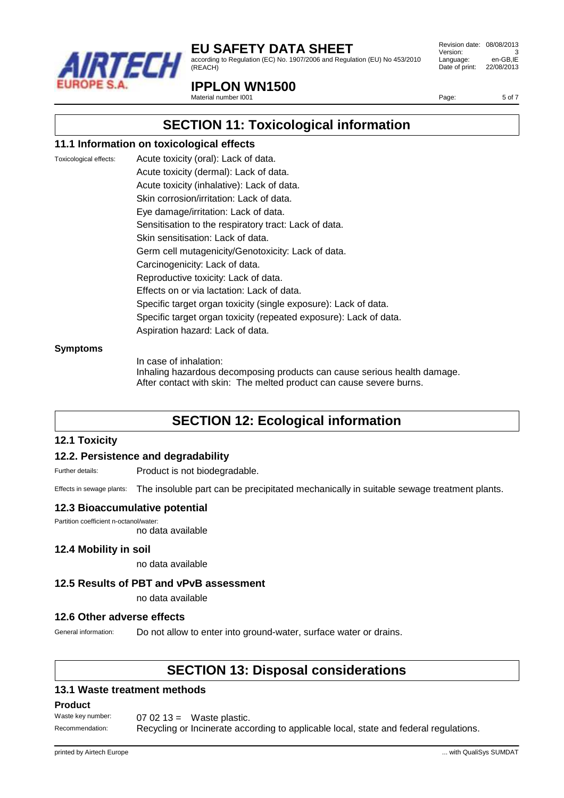

according to Regulation (EC) No. 1907/2006 and Regulation (EU) No 453/2010 (REACH)

Revision date: 08/08/2013 Version: 3<br>
Language: en-GB.IE Language: Date of print: 22/08/2013

### **IPPLON WN1500**

Material number I001

Page: 5 of 7

# **SECTION 11: Toxicological information**

#### **11.1 Information on toxicological effects**

Toxicological effects: Acute toxicity (oral): Lack of data. Acute toxicity (dermal): Lack of data. Acute toxicity (inhalative): Lack of data. Skin corrosion/irritation: Lack of data. Eye damage/irritation: Lack of data. Sensitisation to the respiratory tract: Lack of data. Skin sensitisation: Lack of data. Germ cell mutagenicity/Genotoxicity: Lack of data. Carcinogenicity: Lack of data. Reproductive toxicity: Lack of data. Effects on or via lactation: Lack of data. Specific target organ toxicity (single exposure): Lack of data. Specific target organ toxicity (repeated exposure): Lack of data. Aspiration hazard: Lack of data.

#### **Symptoms**

In case of inhalation: Inhaling hazardous decomposing products can cause serious health damage. After contact with skin: The melted product can cause severe burns.

# **SECTION 12: Ecological information**

#### **12.1 Toxicity**

### **12.2. Persistence and degradability**

Further details: Product is not biodegradable.

Effects in sewage plants: The insoluble part can be precipitated mechanically in suitable sewage treatment plants.

#### **12.3 Bioaccumulative potential**

Partition coefficient n-octanol/water: no data available

#### **12.4 Mobility in soil**

no data available

#### **12.5 Results of PBT and vPvB assessment**

no data available

#### **12.6 Other adverse effects**

General information: Do not allow to enter into ground-water, surface water or drains.

### **SECTION 13: Disposal considerations**

#### **13.1 Waste treatment methods**

#### **Product**

Waste key number: 07 02 13 = Waste plastic. Recommendation: Recycling or Incinerate according to applicable local, state and federal regulations.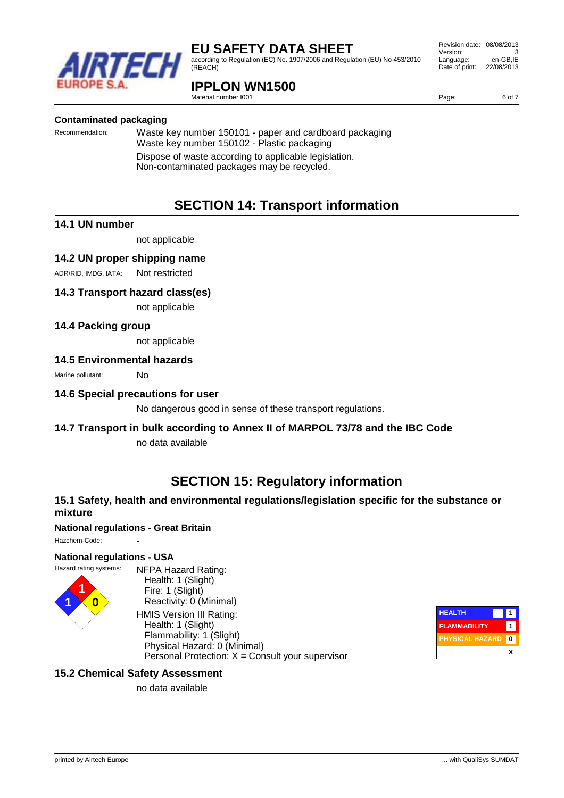

according to Regulation (EC) No. 1907/2006 and Regulation (EU) No 453/2010 (REACH)

### **IPPLON WN1500**

Material number I001

#### **Contaminated packaging**

Recommendation: Waste key number 150101 - paper and cardboard packaging Waste key number 150102 - Plastic packaging Dispose of waste according to applicable legislation. Non-contaminated packages may be recycled.

# **SECTION 14: Transport information**

#### **14.1 UN number**

not applicable

#### **14.2 UN proper shipping name**

ADR/RID, IMDG, IATA: Not restricted

#### **14.3 Transport hazard class(es)**

not applicable

#### **14.4 Packing group**

not applicable

#### **14.5 Environmental hazards**

Marine pollutant: No

#### **14.6 Special precautions for user**

No dangerous good in sense of these transport regulations.

#### **14.7 Transport in bulk according to Annex II of MARPOL 73/78 and the IBC Code**

no data available

# **SECTION 15: Regulatory information**

### **15.1 Safety, health and environmental regulations/legislation specific for the substance or mixture**

#### **National regulations - Great Britain**

Hazchem-Code:

#### **National regulations - USA**



NFPA Hazard Rating: Health: 1 (Slight) Fire: 1 (Slight) Reactivity: 0 (Minimal) HMIS Version III Rating: Health: 1 (Slight) Flammability: 1 (Slight) Physical Hazard: 0 (Minimal) Personal Protection:  $X =$  Consult your supervisor



### **15.2 Chemical Safety Assessment**

no data available

Revision date: 08/08/2013 Version: 3<br>
Language: en-GB.IE Language: Date of print: 22/08/2013

Page: 6 of 7